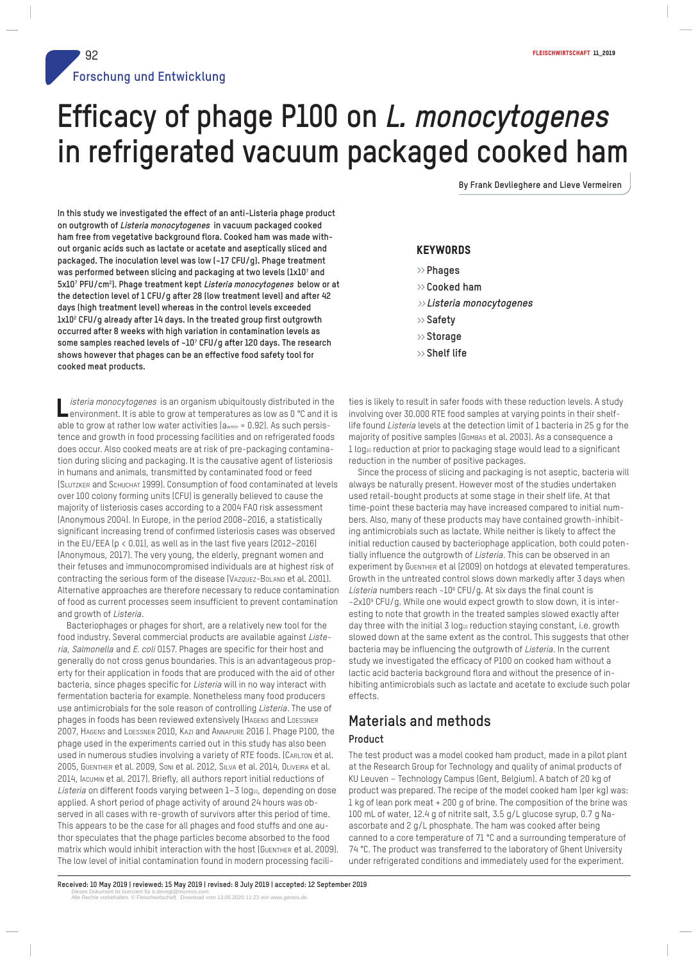**By Frank Devlieghere and Lieve Vermeiren**

**In this study we investigated the effect of an anti-Listeria phage product on outgrowth of Listeria monocytogenes in vacuum packaged cooked ham free from vegetative background flora. Cooked ham was made without organic acids such as lactate or acetate and aseptically sliced and packaged. The inoculation level was low (~17 CFU/g). Phage treatment was performed between slicing and packaging at two levels (1x10<sup>7</sup> and 5x10<sup>7</sup> PFU/cm<sup>2</sup> ). Phage treatment kept Listeria monocytogenes below or at the detection level of 1 CFU/g after 28 (low treatment level) and after 42 days (high treatment level) whereas in the control levels exceeded 1x10<sup>2</sup> CFU/g already after 14 days. In the treated group first outgrowth occurred after 8 weeks with high variation in contamination levels as some samples reached levels of ~10<sup>7</sup> CFU/g after 120 days. The research shows however that phages can be an effective food safety tool for cooked meat products.**

Listeria monocytogenes is an organism ubiquitously distributed in the<br>Lenvironment. It is able to grow at temperatures as low as 0 °C and it is isteria monocytogenes is an organism ubiquitously distributed in the able to grow at rather low water activities (awmin = 0.92). As such persistence and growth in food processing facilities and on refrigerated foods does occur. Also cooked meats are at risk of pre-packaging contamination during slicing and packaging. It is the causative agent of listeriosis in humans and animals, transmitted by contaminated food or feed (SLUTZKER and SCHUCHAT 1999). Consumption of food contaminated at levels over 100 colony forming units (CFU) is generally believed to cause the majority of listeriosis cases according to a 2004 FAO risk assessment (Anonymous 2004). In Europe, in the period 2008–2016, a statistically significant increasing trend of confirmed listeriosis cases was observed in the EU/EEA (p < 0.01), as well as in the last five years (2012–2016) (Anonymous, 2017). The very young, the elderly, pregnant women and their fetuses and immunocompromised individuals are at highest risk of contracting the serious form of the disease (VAZQUEZ-BOLAND et al. 2001). Alternative approaches are therefore necessary to reduce contamination of food as current processes seem insufficient to prevent contamination and growth of Listeria.

Bacteriophages or phages for short, are a relatively new tool for the food industry. Several commercial products are available against Listeria, Salmonella and E. coli O157. Phages are specific for their host and generally do not cross genus boundaries. This is an advantageous property for their application in foods that are produced with the aid of other bacteria, since phages specific for Listeria will in no way interact with fermentation bacteria for example. Nonetheless many food producers use antimicrobials for the sole reason of controlling Listeria. The use of phages in foods has been reviewed extensively (HAGENS and LOESSNER 2007, HAGENS and LOESSNER 2010, KAZI and ANNAPURE 2016 ). Phage P100, the phage used in the experiments carried out in this study has also been used in numerous studies involving a variety of RTE foods. (CARLTON et al. 2005, GUENTHER et al. 2009, SONI et al. 2012, SILVA et al. 2014, OLIVEIRA et al. 2014, IACUMIN et al. 2017). Briefly, all authors report initial reductions of Listeria on different foods varying between 1-3 log10, depending on dose applied. A short period of phage activity of around 24 hours was observed in all cases with re-growth of survivors after this period of time. This appears to be the case for all phages and food stuffs and one author speculates that the phage particles become absorbed to the food matrix which would inhibit interaction with the host (GUENTHER et al. 2009). The low level of initial contamination found in modern processing facili-

## **KEYWORDS**

- » **Phages**
- » **Cooked ham**
- »**Listeria monocytogenes**
- » **Safety**
- » **Storage**
- » **Shelf life**

ties is likely to result in safer foods with these reduction levels. A study involving over 30.000 RTE food samples at varying points in their shelflife found Listeria levels at the detection limit of 1 bacteria in 25 g for the majority of positive samples (Gombas et al. 2003). As a consequence a 1 log10 reduction at prior to packaging stage would lead to a significant reduction in the number of positive packages.

Since the process of slicing and packaging is not aseptic, bacteria will always be naturally present. However most of the studies undertaken used retail-bought products at some stage in their shelf life. At that time-point these bacteria may have increased compared to initial numbers. Also, many of these products may have contained growth-inhibiting antimicrobials such as lactate. While neither is likely to affect the initial reduction caused by bacteriophage application, both could potentially influence the outgrowth of Listeria. This can be observed in an experiment by GUENTHER et al (2009) on hotdogs at elevated temperatures. Growth in the untreated control slows down markedly after 3 days when Listeria numbers reach  $\sim$ 10<sup>8</sup> CFU/g. At six days the final count is ~2x10<sup>9</sup> CFU/g. While one would expect growth to slow down, it is interesting to note that growth in the treated samples slowed exactly after day three with the initial 3 log10 reduction staying constant, i.e. growth slowed down at the same extent as the control. This suggests that other bacteria may be influencing the outgrowth of Listeria. In the current study we investigated the efficacy of P100 on cooked ham without a lactic acid bacteria background flora and without the presence of inhibiting antimicrobials such as lactate and acetate to exclude such polar effects.

## **Materials and methods**

#### **Product**

The test product was a model cooked ham product, made in a pilot plant at the Research Group for Technology and quality of animal products of KU Leuven – Technology Campus (Gent, Belgium). A batch of 20 kg of product was prepared. The recipe of the model cooked ham (per kg) was: 1 kg of lean pork meat + 200 g of brine. The composition of the brine was 100 mL of water, 12.4 g of nitrite salt, 3.5 g/L glucose syrup, 0.7 g Naascorbate and 2 g/L phosphate. The ham was cooked after being canned to a core temperature of 71 °C and a surrounding temperature of 74 °C. The product was transferred to the laboratory of Ghent University under refrigerated conditions and immediately used for the experiment.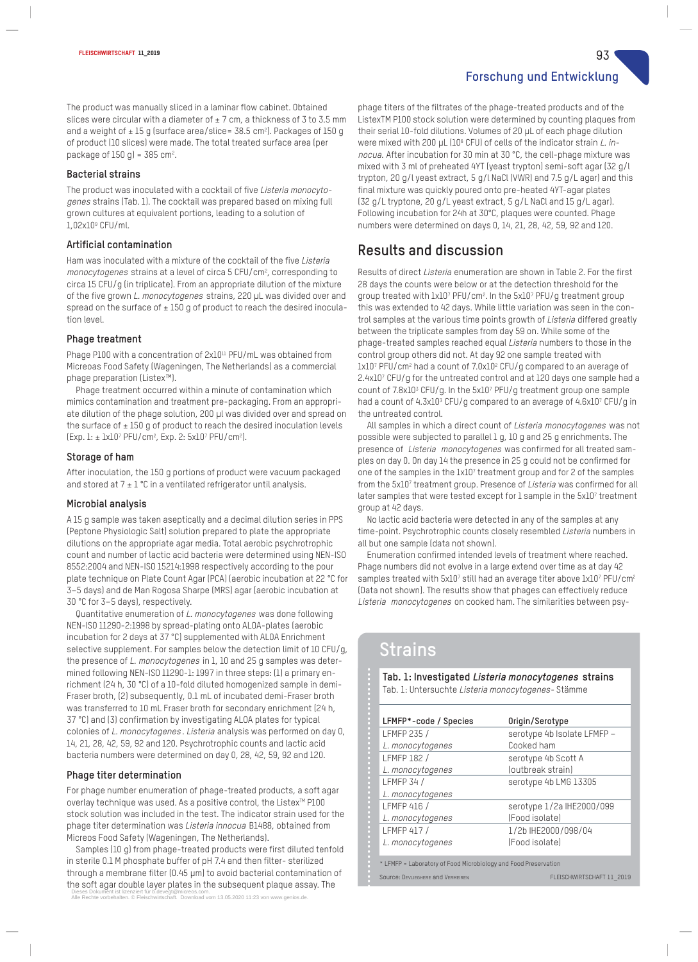**Forschung und Entwicklung**

The product was manually sliced in a laminar flow cabinet. Obtained slices were circular with a diameter of  $\pm$  7 cm, a thickness of 3 to 3.5 mm and a weight of  $\pm 15$  g (surface area/slice= 38.5 cm²). Packages of 150 g of product (10 slices) were made. The total treated surface area (per package of  $150$  g) = 385 cm<sup>2</sup>.

## **Bacterial strains**

The product was inoculated with a cocktail of five Listeria monocytogenes strains (Tab. 1). The cocktail was prepared based on mixing full grown cultures at equivalent portions, leading to a solution of 1,02x10<sup>9</sup> CFU/ml.

## **Artificial contamination**

Ham was inoculated with a mixture of the cocktail of the five Listeria monocytogenes strains at a level of circa 5 CFU/cm², corresponding to circa 15 CFU/g (in triplicate). From an appropriate dilution of the mixture of the five grown L. monocytogenes strains, 220 μL was divided over and spread on the surface of  $\pm$  150 g of product to reach the desired inoculation level.

## **Phage treatment**

Phage P100 with a concentration of 2x10<sup>11</sup> PFU/mL was obtained from Micreoas Food Safety (Wageningen, The Netherlands) as a commercial phage preparation (Listex™).

Phage treatment occurred within a minute of contamination which mimics contamination and treatment pre-packaging. From an appropriate dilution of the phage solution, 200 μl was divided over and spread on the surface of  $\pm$  150 g of product to reach the desired inoculation levels (Exp. 1: ± 1x10<sup>7</sup> PFU/cm<sup>2</sup> , Exp. 2: 5x10<sup>7</sup> PFU/cm<sup>2</sup> ).

## **Storage of ham**

After inoculation, the 150 g portions of product were vacuum packaged and stored at  $7 \pm 1$  °C in a ventilated refrigerator until analysis.

## **Microbial analysis**

A 15 g sample was taken aseptically and a decimal dilution series in PPS (Peptone Physiologic Salt) solution prepared to plate the appropriate dilutions on the appropriate agar media. Total aerobic psychrotrophic count and number of lactic acid bacteria were determined using NEN-ISO 8552:2004 and NEN-ISO 15214:1998 respectively according to the pour plate technique on Plate Count Agar (PCA) (aerobic incubation at 22 °C for 3–5 days) and de Man Rogosa Sharpe (MRS) agar (aerobic incubation at 30 °C for 3–5 days), respectively.

Quantitative enumeration of <sup>L</sup>. monocytogenes was done following NEN-ISO 11290-2:1998 by spread-plating onto ALOA-plates (aerobic incubation for 2 days at 37 °C) supplemented with ALOA Enrichment selective supplement. For samples below the detection limit of 10 CFU/g, the presence of L. monocytogenes in 1, 10 and 25 g samples was determined following NEN-ISO 11290-1: 1997 in three steps: (1) a primary enrichment (24 h, 30 °C) of a 10-fold diluted homogenized sample in demi-Fraser broth, (2) subsequently, 0.1 mL of incubated demi-Fraser broth was transferred to 10 mL Fraser broth for secondary enrichment (24 h, 37 °C) and (3) confirmation by investigating ALOA plates for typical colonies of L. monocytogenes . Listeria analysis was performed on day 0, 14, 21, 28, 42, 59, 92 and 120. Psychrotrophic counts and lactic acid bacteria numbers were determined on day 0, 28, 42, 59, 92 and 120.

## **Phage titer determination**

For phage number enumeration of phage-treated products, a soft agar overlay technique was used. As a positive control, the Listex™ P100 stock solution was included in the test. The indicator strain used for the phage titer determination was Listeria innocua B1488, obtained from Micreos Food Safety (Wageningen, The Netherlands).

Samples (10 g) from phage-treated products were first diluted tenfold in sterile 0.1 M phosphate buffer of pH 7.4 and then filter- sterilized through a membrane filter (0.45 μm) to avoid bacterial contamination of the soft agar double layer plates in the subsequent plaque assay. The

Dieses Dokument ist lizenziert für b.devegt@micreos.com. Alle Rechte vorbehalten. © Fleischwirtschaft. Download vom 13.05.2020 11:23 von www.genios.de.

phage titers of the filtrates of the phage-treated products and of the ListexTM P100 stock solution were determined by counting plaques from their serial 10-fold dilutions. Volumes of 20 μL of each phage dilution were mixed with 200 μL (10<sup>6</sup> CFU) of cells of the indicator strain *L. in*nocua. After incubation for 30 min at 30 °C, the cell-phage mixture was mixed with 3 ml of preheated 4YT (yeast trypton) semi-soft agar (32 g/l trypton, 20 g/l yeast extract, 5 g/l NaCl (VWR) and 7.5 g/L agar) and this final mixture was quickly poured onto pre-heated 4YT-agar plates (32 g/L tryptone, 20 g/L yeast extract, 5 g/L NaCl and 15 g/L agar). Following incubation for 24h at 30°C, plaques were counted. Phage numbers were determined on days 0, 14, 21, 28, 42, 59, 92 and 120.

## **Results and discussion**

Results of direct Listeria enumeration are shown in Table 2. For the first 28 days the counts were below or at the detection threshold for the group treated with 1x107 PFU/cm<sup>2</sup>. In the 5x107 PFU/g treatment group this was extended to 42 days. While little variation was seen in the control samples at the various time points growth of Listeria differed greatly between the triplicate samples from day 59 on. While some of the phage-treated samples reached equal Listeria numbers to those in the control group others did not. At day 92 one sample treated with 1x107 PFU/cm<sup>2</sup> had a count of 7.0x10<sup>2</sup> CFU/g compared to an average of 2.4x10<sup>7</sup> CFU/g for the untreated control and at 120 days one sample had a count of 7.8x10<sup>3</sup> CFU/g. In the 5x10<sup>7</sup> PFU/g treatment group one sample had a count of 4.3x10<sup>3</sup> CFU/g compared to an average of 4.6x10<sup>7</sup> CFU/g in the untreated control.

All samples in which a direct count of Listeria monocytogenes was not possible were subjected to parallel 1 g, 10 g and 25 g enrichments. The presence of Listeria monocytogenes was confirmed for all treated samples on day 0. On day 14 the presence in 25 g could not be confirmed for one of the samples in the 1x10<sup>7</sup> treatment group and for 2 of the samples from the 5x10<sup>7</sup> treatment group. Presence of Listeria was confirmed for all later samples that were tested except for 1 sample in the 5x107 treatment group at 42 days.

No lactic acid bacteria were detected in any of the samples at any time-point. Psychrotrophic counts closely resembled Listeria numbers in all but one sample (data not shown).

Enumeration confirmed intended levels of treatment where reached. Phage numbers did not evolve in a large extend over time as at day 42 samples treated with 5x107 still had an average titer above 1x107 PFU/cm<sup>2</sup> (Data not shown). The results show that phages can effectively reduce Listeria monocytogenes on cooked ham. The similarities between psy-

# **Strains**

| LFMFP*-code / Species | Origin/Serotype             |  |
|-----------------------|-----------------------------|--|
| LFMFP 235 /           | serotype 4b Isolate LFMFP - |  |
| L. monocytogenes      | Cooked ham                  |  |
| <b>LFMFP 182/</b>     | serotype 4b Scott A         |  |
| L. monocytogenes      | (outbreak strain)           |  |
| <b>LFMFP 34/</b>      | serotype 4b LMG 13305       |  |
| L. monocytogenes      |                             |  |
| LFMFP 416 /           | serotype 1/2a IHE2000/099   |  |
| L. monocytogenes      | (Food isolate)              |  |
| LFMFP 417/            | 1/2b IHE2000/098/04         |  |
| L. monocytogenes      | (Food isolate)              |  |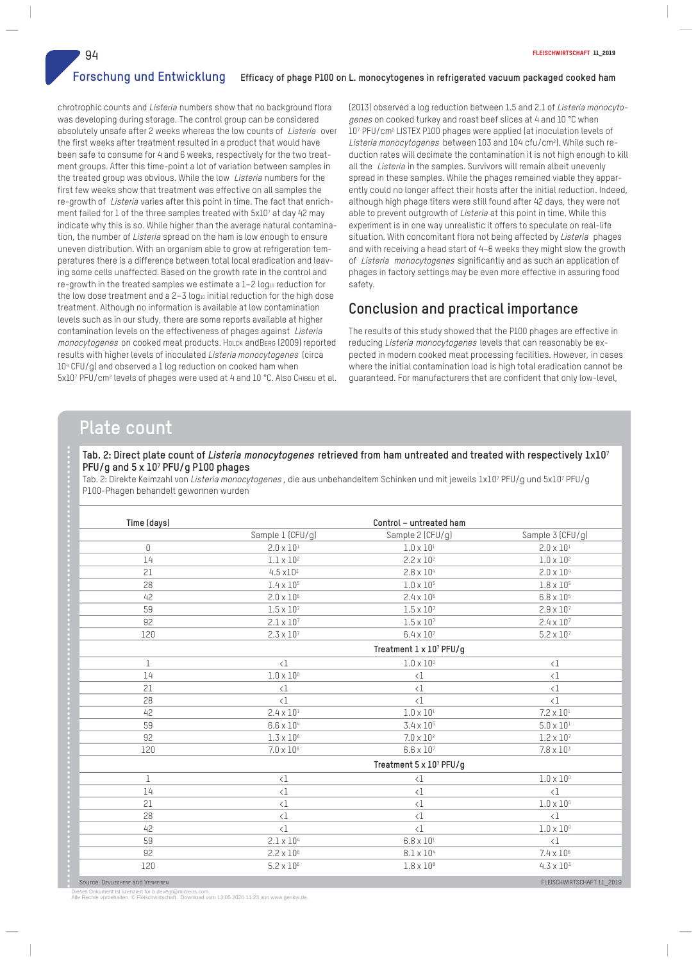**Forschung und Entwicklung Efficacy of phage P100 on L. monocytogenes in refrigerated vacuum packaged cooked ham**

chrotrophic counts and Listeria numbers show that no background flora was developing during storage. The control group can be considered absolutely unsafe after 2 weeks whereas the low counts of Listeria over the first weeks after treatment resulted in a product that would have been safe to consume for 4 and 6 weeks, respectively for the two treatment groups. After this time-point a lot of variation between samples in the treated group was obvious. While the low Listeria numbers for the first few weeks show that treatment was effective on all samples the re-growth of Listeria varies after this point in time. The fact that enrichment failed for 1 of the three samples treated with 5x10<sup>7</sup> at day 42 may indicate why this is so. While higher than the average natural contamination, the number of Listeria spread on the ham is low enough to ensure uneven distribution. With an organism able to grow at refrigeration temperatures there is a difference between total local eradication and leaving some cells unaffected. Based on the growth rate in the control and re-growth in the treated samples we estimate a 1-2 log10 reduction for the low dose treatment and a  $2-3 \log_{10}$  initial reduction for the high dose treatment. Although no information is available at low contamination levels such as in our study, there are some reports available at higher contamination levels on the effectiveness of phages against Listeria monocytogenes on cooked meat products. HoLCK andBERG (2009) reported results with higher levels of inoculated *Listeria monocytogenes* (circa 10<sup>4</sup> CFU/g) and observed a 1 log reduction on cooked ham when 5x10<sup>7</sup> PFU/cm<sup>2</sup> levels of phages were used at 4 and 10 °C. Also CHIBEU et al.

(2013) observed a log reduction between 1.5 and 2.1 of Listeria monocytogenes on cooked turkey and roast beef slices at 4 and 10 °C when 10<sup>7</sup> PFU/cm<sup>2</sup> LISTEX P100 phages were applied (at inoculation levels of Listeria monocytogenes between 103 and 104 cfu/cm<sup>2</sup>). While such reduction rates will decimate the contamination it is not high enough to kill all the Listeria in the samples. Survivors will remain albeit unevenly spread in these samples. While the phages remained viable they apparently could no longer affect their hosts after the initial reduction. Indeed, although high phage titers were still found after 42 days, they were not able to prevent outgrowth of *Listeria* at this point in time. While this experiment is in one way unrealistic it offers to speculate on real-life situation. With concomitant flora not being affected by Listeria phages and with receiving a head start of 4–6 weeks they might slow the growth of Listeria monocytogenes significantly and as such an application of phages in factory settings may be even more effective in assuring food safety.

## **Conclusion and practical importance**

The results of this study showed that the P100 phages are effective in reducing Listeria monocytogenes levels that can reasonably be expected in modern cooked meat processing facilities. However, in cases where the initial contamination load is high total eradication cannot be guaranteed. For manufacturers that are confident that only low-level,

## **Plate count**

| Time (days)  | Control - untreated ham |                         |                         |
|--------------|-------------------------|-------------------------|-------------------------|
|              | Sample 1 (CFU/g)        | Sample 2 (CFU/g)        | Sample 3 (CFU/g)        |
| 0            | $2.0 \times 10^{1}$     | $1.0 \times 10^{1}$     | $2.0 \times 10^{1}$     |
| 14           | $1.1 \times 10^2$       | $2.2 \times 10^{2}$     | $1.0 \times 10^2$       |
| 21           | $4.5 \times 10^{3}$     | $2.8 \times 10^{4}$     | $2.0 \times 10^{4}$     |
| 28           | $1.4 \times 10^{5}$     | $1.0 \times 10^5$       | $1.8 \times 10^{5}$     |
| 42           | $2.0 \times 10^6$       | $2.4 \times 10^6$       | $6.8 \times 10^{5}$     |
| 59           | $1.5 \times 10^7$       | $1.5 \times 10^{7}$     | $2.9 \times 10^{7}$     |
| 92           | $2.1 \times 10^{7}$     | $1.5 \times 10^{7}$     | $2.4 \times 10^{7}$     |
| 120          | $2.3 \times 10^{7}$     | $6.4 \times 10^{7}$     | $5.2 \times 10^{7}$     |
|              | Treatment 1 x 107 PFU/g |                         |                         |
| $\mathbf{1}$ | $\langle 1$             | $1.0 \times 10^{\circ}$ | $\langle 1$             |
| 14           | $1.0 \times 10^{\circ}$ | $\langle \, \csc$       | $\langle 1$             |
| 21           | $\langle 1$             | $\langle 1$             | $\langle 1$             |
| 28           | $\langle$ 1             | $\langle$ 1             | $\langle 1$             |
| 42           | $2.4 \times 10^{1}$     | $1.0 \times 10^{1}$     | $7.2 \times 10^{1}$     |
| 59           | $6.6 \times 10^{4}$     | $3.4 \times 10^{5}$     | $5.0 \times 10^{1}$     |
| 92           | $1.3 \times 10^6$       | $7.0 \times 10^2$       | $1.2 \times 10^{7}$     |
| 120          | $7.0 \times 10^6$       | $6.6 \times 10^{7}$     | $7.8 \times 10^{3}$     |
|              | Treatment 5 x 107 PFU/g |                         |                         |
| $\mathbf 1$  | $\langle \, \csc$       | $\langle \, \csc$       | $1.0 \times 10^{\circ}$ |
| 14           | $\langle 1$             | $\langle$ 1             | $\langle 1$             |
| 21           | $\langle \, \csc$       | $\langle$ 1             | $1.0 \times 10^{\circ}$ |
| 28           | $\langle 1$             | $\langle 1$             | $\langle 1$             |
| 42           | $\langle \, \csc$       | $\langle 1$             | $1.0 \times 10^{\circ}$ |
| 59           | $2.1 \times 10^{4}$     | $6.8 \times 10^{1}$     | $\langle$ 1             |
| 92           | $2.2 \times 10^6$       | $8.1 \times 10^4$       | $7.4 \times 10^{6}$     |
| 120          | $5.2 \times 10^6$       | $1.8 \times 10^8$       | $4.3 \times 10^{3}$     |

Dieses Dokument ist lizenziert für b.devegt@micreos.com. Alle Rechte vorbehalten. © Fleischwirtschaft. Download vom 13.05.2020 11:23 von www.genios.de.